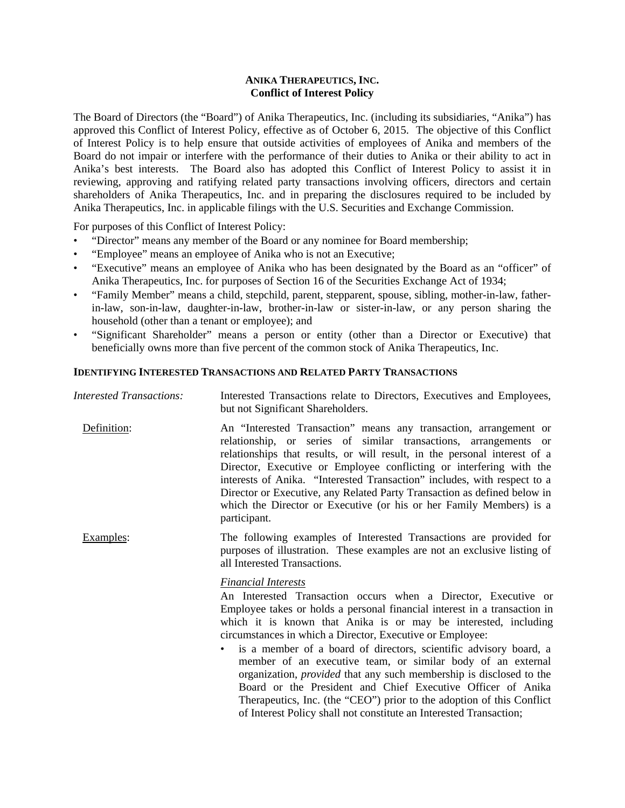### **ANIKA THERAPEUTICS, INC. Conflict of Interest Policy**

The Board of Directors (the "Board") of Anika Therapeutics, Inc. (including its subsidiaries, "Anika") has approved this Conflict of Interest Policy, effective as of October 6, 2015. The objective of this Conflict of Interest Policy is to help ensure that outside activities of employees of Anika and members of the Board do not impair or interfere with the performance of their duties to Anika or their ability to act in Anika's best interests. The Board also has adopted this Conflict of Interest Policy to assist it in reviewing, approving and ratifying related party transactions involving officers, directors and certain shareholders of Anika Therapeutics, Inc. and in preparing the disclosures required to be included by Anika Therapeutics, Inc. in applicable filings with the U.S. Securities and Exchange Commission.

For purposes of this Conflict of Interest Policy:

- "Director" means any member of the Board or any nominee for Board membership;
- "Employee" means an employee of Anika who is not an Executive;
- "Executive" means an employee of Anika who has been designated by the Board as an "officer" of Anika Therapeutics, Inc. for purposes of Section 16 of the Securities Exchange Act of 1934;
- "Family Member" means a child, stepchild, parent, stepparent, spouse, sibling, mother-in-law, fatherin-law, son-in-law, daughter-in-law, brother-in-law or sister-in-law, or any person sharing the household (other than a tenant or employee); and
- "Significant Shareholder" means a person or entity (other than a Director or Executive) that beneficially owns more than five percent of the common stock of Anika Therapeutics, Inc.

### **IDENTIFYING INTERESTED TRANSACTIONS AND RELATED PARTY TRANSACTIONS**

| <b>Interested Transactions:</b> | Interested Transactions relate to Directors, Executives and Employees,<br>but not Significant Shareholders.                                                                                                                                                                                                                                                                                                                                                                                                                                                                                                                                                                                                                               |
|---------------------------------|-------------------------------------------------------------------------------------------------------------------------------------------------------------------------------------------------------------------------------------------------------------------------------------------------------------------------------------------------------------------------------------------------------------------------------------------------------------------------------------------------------------------------------------------------------------------------------------------------------------------------------------------------------------------------------------------------------------------------------------------|
| Definition:                     | An "Interested Transaction" means any transaction, arrangement or<br>relationship, or series of similar transactions, arrangements or<br>relationships that results, or will result, in the personal interest of a<br>Director, Executive or Employee conflicting or interfering with the<br>interests of Anika. "Interested Transaction" includes, with respect to a<br>Director or Executive, any Related Party Transaction as defined below in<br>which the Director or Executive (or his or her Family Members) is a<br>participant.                                                                                                                                                                                                  |
| Examples:                       | The following examples of Interested Transactions are provided for<br>purposes of illustration. These examples are not an exclusive listing of<br>all Interested Transactions.                                                                                                                                                                                                                                                                                                                                                                                                                                                                                                                                                            |
|                                 | <b>Financial Interests</b><br>An Interested Transaction occurs when a Director, Executive or<br>Employee takes or holds a personal financial interest in a transaction in<br>which it is known that Anika is or may be interested, including<br>circumstances in which a Director, Executive or Employee:<br>is a member of a board of directors, scientific advisory board, a<br>member of an executive team, or similar body of an external<br>organization, <i>provided</i> that any such membership is disclosed to the<br>Board or the President and Chief Executive Officer of Anika<br>Therapeutics, Inc. (the "CEO") prior to the adoption of this Conflict<br>of Interest Policy shall not constitute an Interested Transaction; |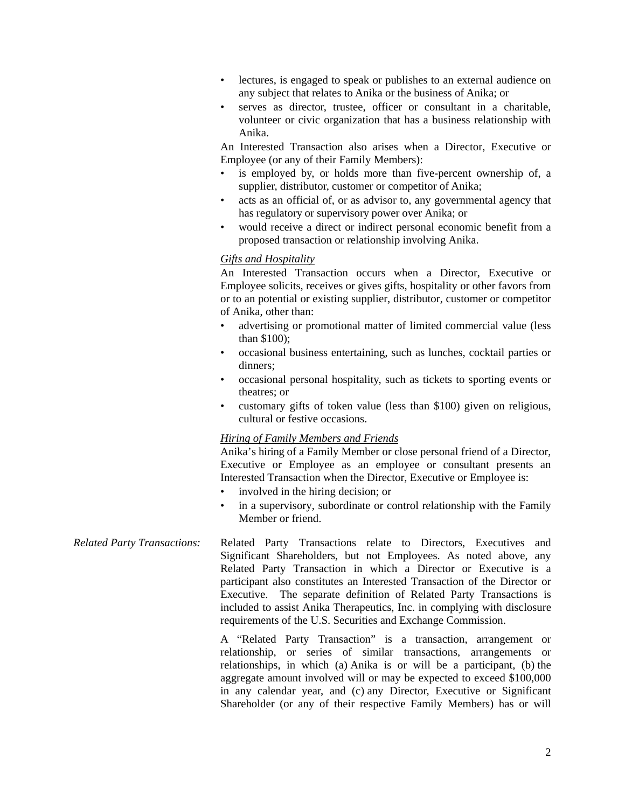- lectures, is engaged to speak or publishes to an external audience on any subject that relates to Anika or the business of Anika; or
- serves as director, trustee, officer or consultant in a charitable, volunteer or civic organization that has a business relationship with Anika.

An Interested Transaction also arises when a Director, Executive or Employee (or any of their Family Members):

- is employed by, or holds more than five-percent ownership of, a supplier, distributor, customer or competitor of Anika;
- acts as an official of, or as advisor to, any governmental agency that has regulatory or supervisory power over Anika; or
- would receive a direct or indirect personal economic benefit from a proposed transaction or relationship involving Anika.

## *Gifts and Hospitality*

An Interested Transaction occurs when a Director, Executive or Employee solicits, receives or gives gifts, hospitality or other favors from or to an potential or existing supplier, distributor, customer or competitor of Anika, other than:

- advertising or promotional matter of limited commercial value (less than \$100);
- occasional business entertaining, such as lunches, cocktail parties or dinners;
- occasional personal hospitality, such as tickets to sporting events or theatres; or
- customary gifts of token value (less than \$100) given on religious, cultural or festive occasions.

## *Hiring of Family Members and Friends*

Anika's hiring of a Family Member or close personal friend of a Director, Executive or Employee as an employee or consultant presents an Interested Transaction when the Director, Executive or Employee is:

- involved in the hiring decision; or
- in a supervisory, subordinate or control relationship with the Family Member or friend.
- *Related Party Transactions:* Related Party Transactions relate to Directors, Executives and Significant Shareholders, but not Employees. As noted above, any Related Party Transaction in which a Director or Executive is a participant also constitutes an Interested Transaction of the Director or Executive. The separate definition of Related Party Transactions is included to assist Anika Therapeutics, Inc. in complying with disclosure requirements of the U.S. Securities and Exchange Commission.

A "Related Party Transaction" is a transaction, arrangement or relationship, or series of similar transactions, arrangements or relationships, in which (a) Anika is or will be a participant, (b) the aggregate amount involved will or may be expected to exceed \$100,000 in any calendar year, and (c) any Director, Executive or Significant Shareholder (or any of their respective Family Members) has or will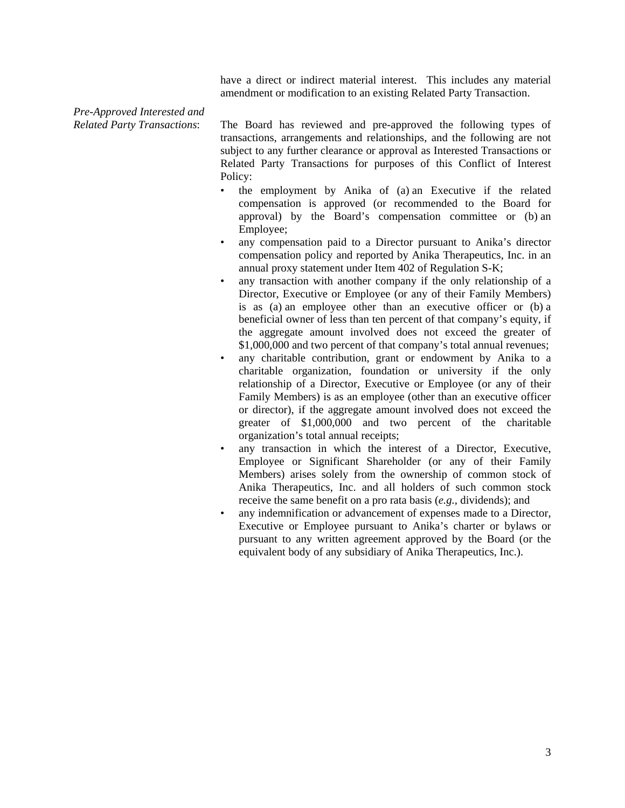have a direct or indirect material interest. This includes any material amendment or modification to an existing Related Party Transaction.

# *Pre-Approved Interested and*

*Related Party Transactions*: The Board has reviewed and pre-approved the following types of transactions, arrangements and relationships, and the following are not subject to any further clearance or approval as Interested Transactions or Related Party Transactions for purposes of this Conflict of Interest Policy:

- the employment by Anika of (a) an Executive if the related compensation is approved (or recommended to the Board for approval) by the Board's compensation committee or (b) an Employee;
- any compensation paid to a Director pursuant to Anika's director compensation policy and reported by Anika Therapeutics, Inc. in an annual proxy statement under Item 402 of Regulation S-K;
- any transaction with another company if the only relationship of a Director, Executive or Employee (or any of their Family Members) is as (a) an employee other than an executive officer or (b) a beneficial owner of less than ten percent of that company's equity, if the aggregate amount involved does not exceed the greater of \$1,000,000 and two percent of that company's total annual revenues;
- any charitable contribution, grant or endowment by Anika to a charitable organization, foundation or university if the only relationship of a Director, Executive or Employee (or any of their Family Members) is as an employee (other than an executive officer or director), if the aggregate amount involved does not exceed the greater of \$1,000,000 and two percent of the charitable organization's total annual receipts;
- any transaction in which the interest of a Director, Executive, Employee or Significant Shareholder (or any of their Family Members) arises solely from the ownership of common stock of Anika Therapeutics, Inc. and all holders of such common stock receive the same benefit on a pro rata basis (*e.g.,* dividends); and
- any indemnification or advancement of expenses made to a Director, Executive or Employee pursuant to Anika's charter or bylaws or pursuant to any written agreement approved by the Board (or the equivalent body of any subsidiary of Anika Therapeutics, Inc.).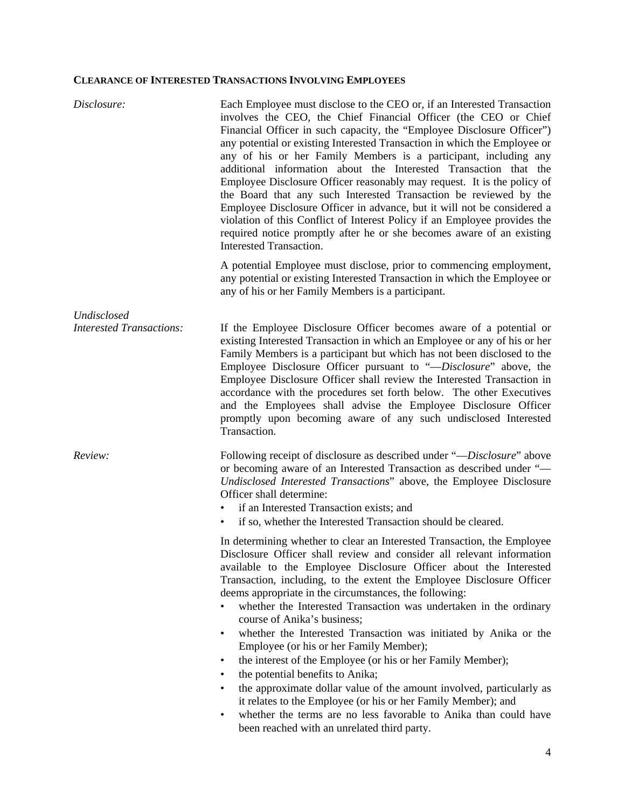# **CLEARANCE OF INTERESTED TRANSACTIONS INVOLVING EMPLOYEES**

| Disclosure:                     | Each Employee must disclose to the CEO or, if an Interested Transaction<br>involves the CEO, the Chief Financial Officer (the CEO or Chief<br>Financial Officer in such capacity, the "Employee Disclosure Officer")<br>any potential or existing Interested Transaction in which the Employee or<br>any of his or her Family Members is a participant, including any<br>additional information about the Interested Transaction that the<br>Employee Disclosure Officer reasonably may request. It is the policy of<br>the Board that any such Interested Transaction be reviewed by the<br>Employee Disclosure Officer in advance, but it will not be considered a<br>violation of this Conflict of Interest Policy if an Employee provides the<br>required notice promptly after he or she becomes aware of an existing<br><b>Interested Transaction.</b>                                                                                         |
|---------------------------------|------------------------------------------------------------------------------------------------------------------------------------------------------------------------------------------------------------------------------------------------------------------------------------------------------------------------------------------------------------------------------------------------------------------------------------------------------------------------------------------------------------------------------------------------------------------------------------------------------------------------------------------------------------------------------------------------------------------------------------------------------------------------------------------------------------------------------------------------------------------------------------------------------------------------------------------------------|
|                                 | A potential Employee must disclose, prior to commencing employment,<br>any potential or existing Interested Transaction in which the Employee or<br>any of his or her Family Members is a participant.                                                                                                                                                                                                                                                                                                                                                                                                                                                                                                                                                                                                                                                                                                                                               |
| Undisclosed                     |                                                                                                                                                                                                                                                                                                                                                                                                                                                                                                                                                                                                                                                                                                                                                                                                                                                                                                                                                      |
| <b>Interested Transactions:</b> | If the Employee Disclosure Officer becomes aware of a potential or<br>existing Interested Transaction in which an Employee or any of his or her<br>Family Members is a participant but which has not been disclosed to the<br>Employee Disclosure Officer pursuant to "-Disclosure" above, the<br>Employee Disclosure Officer shall review the Interested Transaction in<br>accordance with the procedures set forth below. The other Executives<br>and the Employees shall advise the Employee Disclosure Officer<br>promptly upon becoming aware of any such undisclosed Interested<br>Transaction.                                                                                                                                                                                                                                                                                                                                                |
| Review:                         | Following receipt of disclosure as described under "—Disclosure" above<br>or becoming aware of an Interested Transaction as described under "-<br>Undisclosed Interested Transactions" above, the Employee Disclosure<br>Officer shall determine:<br>if an Interested Transaction exists; and<br>if so, whether the Interested Transaction should be cleared.<br>٠                                                                                                                                                                                                                                                                                                                                                                                                                                                                                                                                                                                   |
|                                 | In determining whether to clear an Interested Transaction, the Employee<br>Disclosure Officer shall review and consider all relevant information<br>available to the Employee Disclosure Officer about the Interested<br>Transaction, including, to the extent the Employee Disclosure Officer<br>deems appropriate in the circumstances, the following:<br>whether the Interested Transaction was undertaken in the ordinary<br>course of Anika's business;<br>whether the Interested Transaction was initiated by Anika or the<br>٠<br>Employee (or his or her Family Member);<br>the interest of the Employee (or his or her Family Member);<br>٠<br>the potential benefits to Anika;<br>the approximate dollar value of the amount involved, particularly as<br>it relates to the Employee (or his or her Family Member); and<br>whether the terms are no less favorable to Anika than could have<br>been reached with an unrelated third party. |
|                                 |                                                                                                                                                                                                                                                                                                                                                                                                                                                                                                                                                                                                                                                                                                                                                                                                                                                                                                                                                      |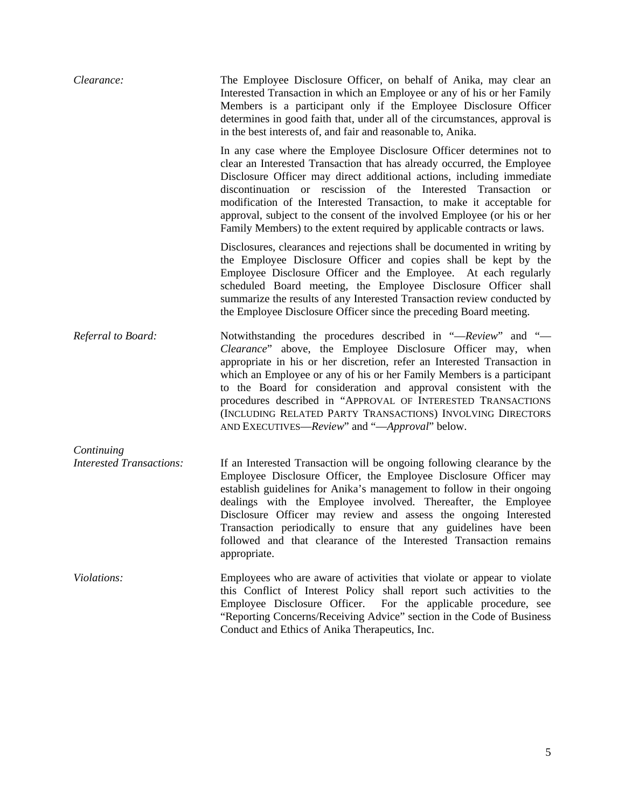| Clearance:                                    | The Employee Disclosure Officer, on behalf of Anika, may clear an<br>Interested Transaction in which an Employee or any of his or her Family<br>Members is a participant only if the Employee Disclosure Officer<br>determines in good faith that, under all of the circumstances, approval is<br>in the best interests of, and fair and reasonable to, Anika.                                                                                                                                                                      |
|-----------------------------------------------|-------------------------------------------------------------------------------------------------------------------------------------------------------------------------------------------------------------------------------------------------------------------------------------------------------------------------------------------------------------------------------------------------------------------------------------------------------------------------------------------------------------------------------------|
|                                               | In any case where the Employee Disclosure Officer determines not to<br>clear an Interested Transaction that has already occurred, the Employee<br>Disclosure Officer may direct additional actions, including immediate<br>discontinuation or rescission of the Interested Transaction or<br>modification of the Interested Transaction, to make it acceptable for<br>approval, subject to the consent of the involved Employee (or his or her<br>Family Members) to the extent required by applicable contracts or laws.           |
|                                               | Disclosures, clearances and rejections shall be documented in writing by<br>the Employee Disclosure Officer and copies shall be kept by the<br>Employee Disclosure Officer and the Employee. At each regularly<br>scheduled Board meeting, the Employee Disclosure Officer shall<br>summarize the results of any Interested Transaction review conducted by<br>the Employee Disclosure Officer since the preceding Board meeting.                                                                                                   |
| Referral to Board:                            | Notwithstanding the procedures described in "—Review" and "—<br>Clearance" above, the Employee Disclosure Officer may, when<br>appropriate in his or her discretion, refer an Interested Transaction in<br>which an Employee or any of his or her Family Members is a participant<br>to the Board for consideration and approval consistent with the<br>procedures described in "APPROVAL OF INTERESTED TRANSACTIONS<br>(INCLUDING RELATED PARTY TRANSACTIONS) INVOLVING DIRECTORS<br>AND EXECUTIVES—Review" and "—Approval" below. |
| Continuing<br><b>Interested Transactions:</b> | If an Interested Transaction will be ongoing following clearance by the<br>Employee Disclosure Officer, the Employee Disclosure Officer may<br>establish guidelines for Anika's management to follow in their ongoing<br>dealings with the Employee involved. Thereafter, the Employee<br>Disclosure Officer may review and assess the ongoing Interested<br>Transaction periodically to ensure that any guidelines have been<br>followed and that clearance of the Interested Transaction remains<br>appropriate.                  |
| Violations:                                   | Employees who are aware of activities that violate or appear to violate<br>this Conflict of Interest Policy shall report such activities to the<br>Employee Disclosure Officer. For the applicable procedure, see<br>"Reporting Concerns/Receiving Advice" section in the Code of Business<br>Conduct and Ethics of Anika Therapeutics, Inc.                                                                                                                                                                                        |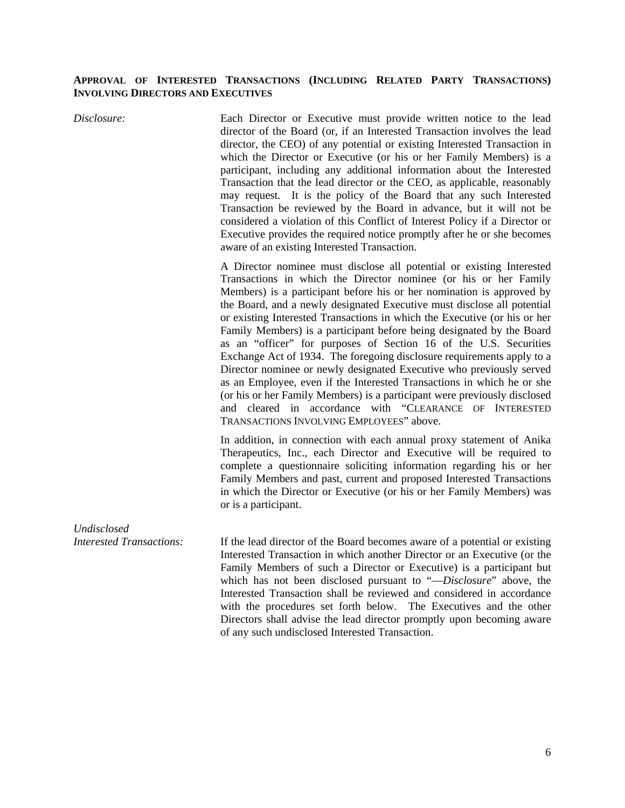### **APPROVAL OF INTERESTED TRANSACTIONS (INCLUDING RELATED PARTY TRANSACTIONS) INVOLVING DIRECTORS AND EXECUTIVES**

*Disclosure:* Each Director or Executive must provide written notice to the lead director of the Board (or, if an Interested Transaction involves the lead director, the CEO) of any potential or existing Interested Transaction in which the Director or Executive (or his or her Family Members) is a participant, including any additional information about the Interested Transaction that the lead director or the CEO, as applicable, reasonably may request. It is the policy of the Board that any such Interested Transaction be reviewed by the Board in advance, but it will not be considered a violation of this Conflict of Interest Policy if a Director or Executive provides the required notice promptly after he or she becomes aware of an existing Interested Transaction.

> A Director nominee must disclose all potential or existing Interested Transactions in which the Director nominee (or his or her Family Members) is a participant before his or her nomination is approved by the Board, and a newly designated Executive must disclose all potential or existing Interested Transactions in which the Executive (or his or her Family Members) is a participant before being designated by the Board as an "officer" for purposes of Section 16 of the U.S. Securities Exchange Act of 1934. The foregoing disclosure requirements apply to a Director nominee or newly designated Executive who previously served as an Employee, even if the Interested Transactions in which he or she (or his or her Family Members) is a participant were previously disclosed and cleared in accordance with "CLEARANCE OF INTERESTED TRANSACTIONS INVOLVING EMPLOYEES" above.

> In addition, in connection with each annual proxy statement of Anika Therapeutics, Inc., each Director and Executive will be required to complete a questionnaire soliciting information regarding his or her Family Members and past, current and proposed Interested Transactions in which the Director or Executive (or his or her Family Members) was or is a participant.

*Interested Transactions:* If the lead director of the Board becomes aware of a potential or existing Interested Transaction in which another Director or an Executive (or the Family Members of such a Director or Executive) is a participant but which has not been disclosed pursuant to "—*Disclosure*" above, the Interested Transaction shall be reviewed and considered in accordance with the procedures set forth below. The Executives and the other Directors shall advise the lead director promptly upon becoming aware of any such undisclosed Interested Transaction.

*Undisclosed*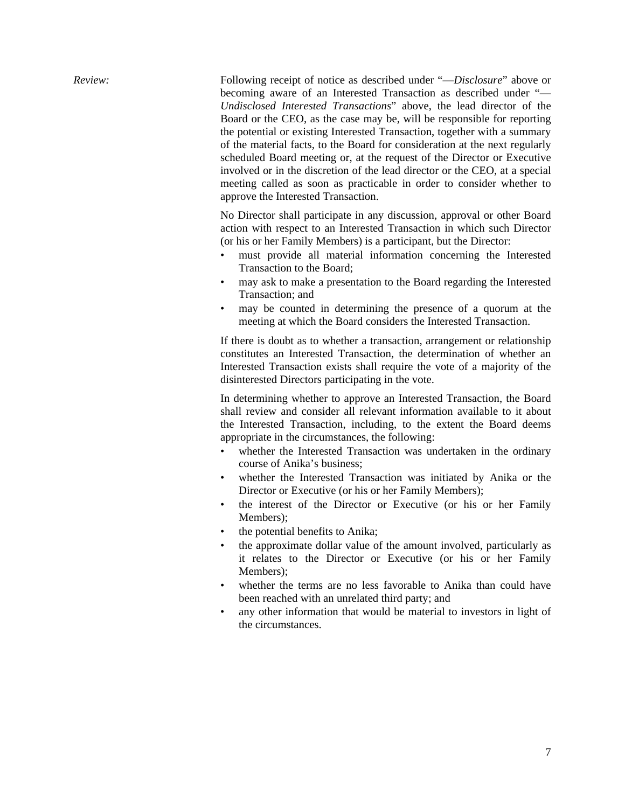*Review:* Following receipt of notice as described under "—*Disclosure*" above or becoming aware of an Interested Transaction as described under "— *Undisclosed Interested Transactions*" above, the lead director of the Board or the CEO, as the case may be, will be responsible for reporting the potential or existing Interested Transaction, together with a summary of the material facts, to the Board for consideration at the next regularly scheduled Board meeting or, at the request of the Director or Executive involved or in the discretion of the lead director or the CEO, at a special meeting called as soon as practicable in order to consider whether to approve the Interested Transaction.

> No Director shall participate in any discussion, approval or other Board action with respect to an Interested Transaction in which such Director (or his or her Family Members) is a participant, but the Director:

- must provide all material information concerning the Interested Transaction to the Board;
- may ask to make a presentation to the Board regarding the Interested Transaction; and
- may be counted in determining the presence of a quorum at the meeting at which the Board considers the Interested Transaction.

If there is doubt as to whether a transaction, arrangement or relationship constitutes an Interested Transaction, the determination of whether an Interested Transaction exists shall require the vote of a majority of the disinterested Directors participating in the vote.

In determining whether to approve an Interested Transaction, the Board shall review and consider all relevant information available to it about the Interested Transaction, including, to the extent the Board deems appropriate in the circumstances, the following:

- whether the Interested Transaction was undertaken in the ordinary course of Anika's business;
- whether the Interested Transaction was initiated by Anika or the Director or Executive (or his or her Family Members);
- the interest of the Director or Executive (or his or her Family Members);
- the potential benefits to Anika;
- the approximate dollar value of the amount involved, particularly as it relates to the Director or Executive (or his or her Family Members);
- whether the terms are no less favorable to Anika than could have been reached with an unrelated third party; and
- any other information that would be material to investors in light of the circumstances.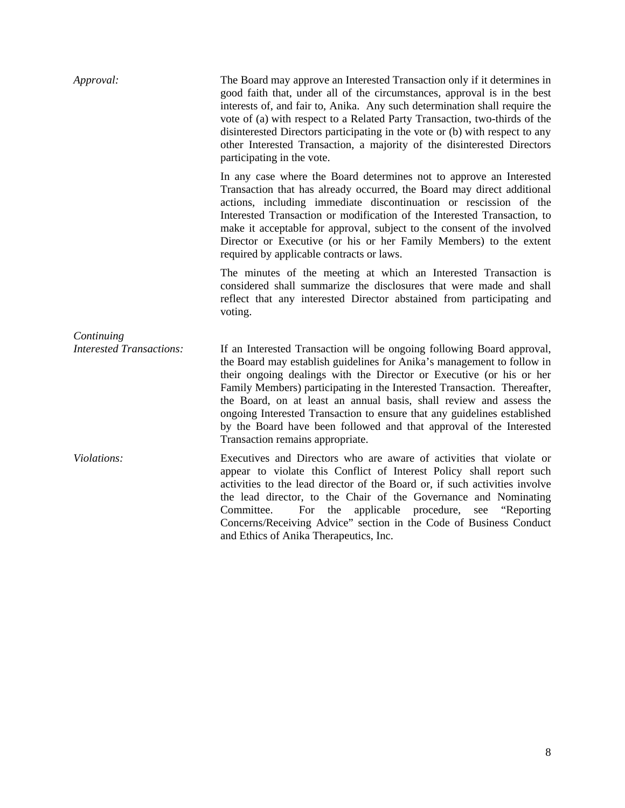| Approval:                                     | The Board may approve an Interested Transaction only if it determines in<br>good faith that, under all of the circumstances, approval is in the best<br>interests of, and fair to, Anika. Any such determination shall require the<br>vote of (a) with respect to a Related Party Transaction, two-thirds of the<br>disinterested Directors participating in the vote or (b) with respect to any<br>other Interested Transaction, a majority of the disinterested Directors<br>participating in the vote.                                                          |
|-----------------------------------------------|--------------------------------------------------------------------------------------------------------------------------------------------------------------------------------------------------------------------------------------------------------------------------------------------------------------------------------------------------------------------------------------------------------------------------------------------------------------------------------------------------------------------------------------------------------------------|
|                                               | In any case where the Board determines not to approve an Interested<br>Transaction that has already occurred, the Board may direct additional<br>actions, including immediate discontinuation or rescission of the<br>Interested Transaction or modification of the Interested Transaction, to<br>make it acceptable for approval, subject to the consent of the involved<br>Director or Executive (or his or her Family Members) to the extent<br>required by applicable contracts or laws.                                                                       |
|                                               | The minutes of the meeting at which an Interested Transaction is<br>considered shall summarize the disclosures that were made and shall<br>reflect that any interested Director abstained from participating and<br>voting.                                                                                                                                                                                                                                                                                                                                        |
| Continuing<br><b>Interested Transactions:</b> | If an Interested Transaction will be ongoing following Board approval,<br>the Board may establish guidelines for Anika's management to follow in<br>their ongoing dealings with the Director or Executive (or his or her<br>Family Members) participating in the Interested Transaction. Thereafter,<br>the Board, on at least an annual basis, shall review and assess the<br>ongoing Interested Transaction to ensure that any guidelines established<br>by the Board have been followed and that approval of the Interested<br>Transaction remains appropriate. |
| Violations:                                   | Executives and Directors who are aware of activities that violate or<br>appear to violate this Conflict of Interest Policy shall report such<br>activities to the lead director of the Board or, if such activities involve<br>the lead director, to the Chair of the Governance and Nominating<br>applicable procedure,<br>"Reporting"<br>Committee.<br>For<br>the<br>see<br>Concerns/Receiving Advice" section in the Code of Business Conduct<br>and Ethics of Anika Therapeutics, Inc.                                                                         |